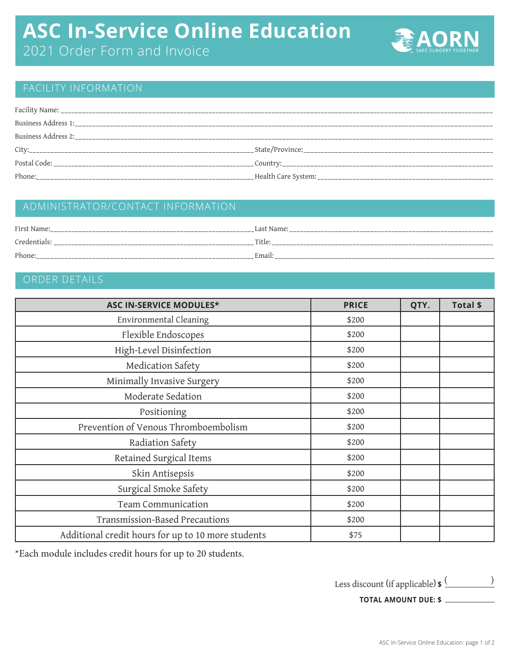## **ASC In-Service Online Education**

2021 Order Form and Invoice



## FACILITY INFORMATION

| Phone: |  |
|--------|--|

### ADMINISTRATOR/CONTACT INFORMATION

| First Name:         | Last Name: |
|---------------------|------------|
| Credentials:<br>$-$ | Title:     |
| Phone:              | Email.     |

## ORDER DETAILS

| <b>ASC IN-SERVICE MODULES*</b>                     | <b>PRICE</b> | QTY. | Total \$ |
|----------------------------------------------------|--------------|------|----------|
| Environmental Cleaning                             | \$200        |      |          |
| Flexible Endoscopes                                | \$200        |      |          |
| High-Level Disinfection                            | \$200        |      |          |
| Medication Safety                                  | \$200        |      |          |
| Minimally Invasive Surgery                         | \$200        |      |          |
| Moderate Sedation                                  | \$200        |      |          |
| Positioning                                        | \$200        |      |          |
| Prevention of Venous Thromboembolism               | \$200        |      |          |
| Radiation Safety                                   | \$200        |      |          |
| Retained Surgical Items                            | \$200        |      |          |
| Skin Antisepsis                                    | \$200        |      |          |
| Surgical Smoke Safety                              | \$200        |      |          |
| Team Communication                                 | \$200        |      |          |
| Transmission-Based Precautions                     | \$200        |      |          |
| Additional credit hours for up to 10 more students | \$75         |      |          |

\*Each module includes credit hours for up to 20 students.

Less discount (if applicable) **\$** ( )

**TOTAL AMOUNT DUE: \$**